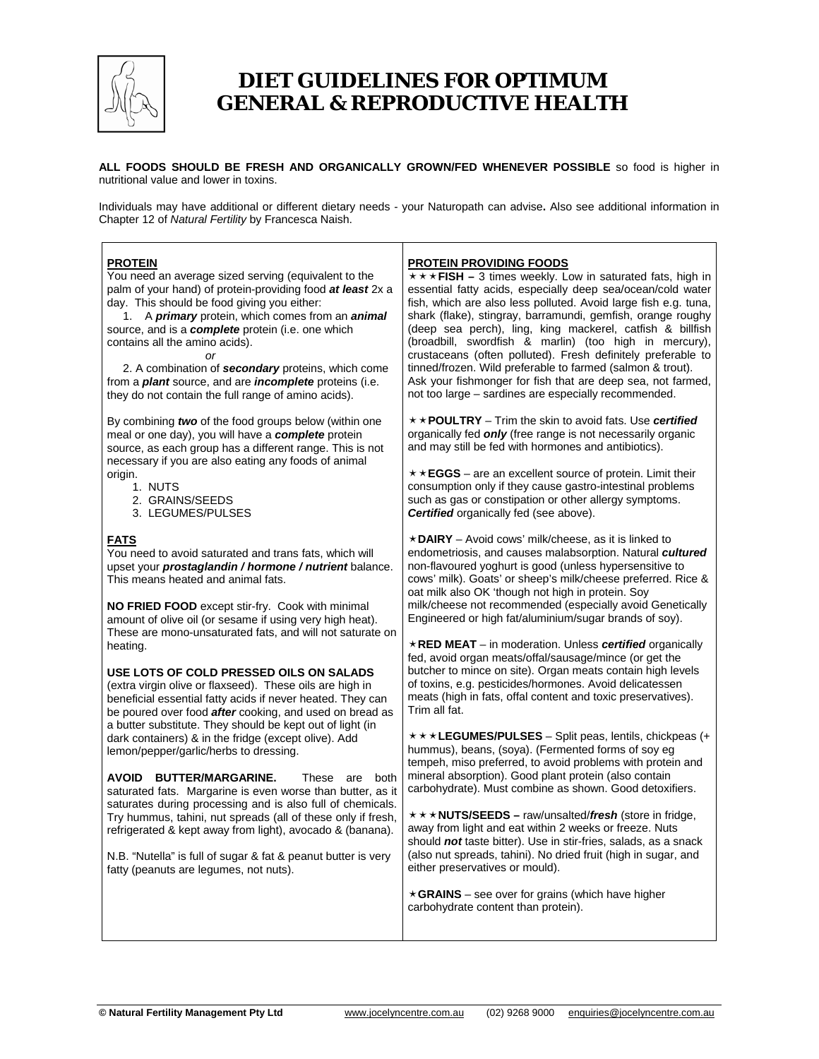

# *DIET GUIDELINES FOR OPTIMUM GENERAL & REPRODUCTIVE HEALTH*

**ALL FOODS SHOULD BE FRESH AND ORGANICALLY GROWN/FED WHENEVER POSSIBLE** so food is higher in nutritional value and lower in toxins.

Individuals may have additional or different dietary needs - your Naturopath can advise**.** Also see additional information in Chapter 12 of *Natural Fertility* by Francesca Naish.

## **PROTEIN**

You need an average sized serving (equivalent to the palm of your hand) of protein-providing food *at least* 2x a day. This should be food giving you either:

 1. A *primary* protein, which comes from an *animal* source, and is a *complete* protein (i.e. one which contains all the amino acids).

*or* 

 2. A combination of *secondary* proteins, which come from a *plant* source, and are *incomplete* proteins (i.e. they do not contain the full range of amino acids).

By combining *two* of the food groups below (within one meal or one day), you will have a *complete* protein source, as each group has a different range. This is not necessary if you are also eating any foods of animal origin.

- 1. NUTS
- 2. GRAINS/SEEDS
- 3. LEGUMES/PULSES

## **FATS**

You need to avoid saturated and trans fats, which will upset your *prostaglandin / hormone / nutrient* balance. This means heated and animal fats.

**NO FRIED FOOD** except stir-fry. Cook with minimal amount of olive oil (or sesame if using very high heat). These are mono-unsaturated fats, and will not saturate on heating.

**USE LOTS OF COLD PRESSED OILS ON SALADS** (extra virgin olive or flaxseed). These oils are high in beneficial essential fatty acids if never heated. They can be poured over food *after* cooking, and used on bread as a butter substitute. They should be kept out of light (in dark containers) & in the fridge (except olive). Add lemon/pepper/garlic/herbs to dressing.

**AVOID BUTTER/MARGARINE.** These are both saturated fats. Margarine is even worse than butter, as it saturates during processing and is also full of chemicals. Try hummus, tahini, nut spreads (all of these only if fresh, refrigerated & kept away from light), avocado & (banana).

N.B. "Nutella" is full of sugar & fat & peanut butter is very fatty (peanuts are legumes, not nuts).

## **PROTEIN PROVIDING FOODS**

 $\star \star \star$  FISH – 3 times weekly. Low in saturated fats, high in essential fatty acids, especially deep sea/ocean/cold water fish, which are also less polluted. Avoid large fish e.g. tuna, shark (flake), stingray, barramundi, gemfish, orange roughy (deep sea perch), ling, king mackerel, catfish & billfish (broadbill, swordfish & marlin) (too high in mercury), crustaceans (often polluted). Fresh definitely preferable to tinned/frozen. Wild preferable to farmed (salmon & trout). Ask your fishmonger for fish that are deep sea, not farmed, not too large – sardines are especially recommended.

ËË**POULTRY** – Trim the skin to avoid fats. Use *certified* organically fed *only* (free range is not necessarily organic and may still be fed with hormones and antibiotics).

 $\star \star$  **EGGS** – are an excellent source of protein. Limit their consumption only if they cause gastro-intestinal problems such as gas or constipation or other allergy symptoms. *Certified* organically fed (see above).

Ë**DAIRY** – Avoid cows' milk/cheese, as it is linked to endometriosis, and causes malabsorption. Natural *cultured* non-flavoured yoghurt is good (unless hypersensitive to cows' milk). Goats' or sheep's milk/cheese preferred. Rice & oat milk also OK 'though not high in protein. Soy milk/cheese not recommended (especially avoid Genetically Engineered or high fat/aluminium/sugar brands of soy).

Ë**RED MEAT** – in moderation. Unless *certified* organically fed, avoid organ meats/offal/sausage/mince (or get the butcher to mince on site). Organ meats contain high levels of toxins, e.g. pesticides/hormones. Avoid delicatessen meats (high in fats, offal content and toxic preservatives). Trim all fat.

**\* \* \* LEGUMES/PULSES** – Split peas, lentils, chickpeas (+ hummus), beans, (soya). (Fermented forms of soy eg tempeh, miso preferred, to avoid problems with protein and mineral absorption). Good plant protein (also contain carbohydrate). Must combine as shown. Good detoxifiers.

ËËË**NUTS/SEEDS –** raw/unsalted/*fresh* (store in fridge, away from light and eat within 2 weeks or freeze. Nuts should *not* taste bitter). Use in stir-fries, salads, as a snack (also nut spreads, tahini). No dried fruit (high in sugar, and either preservatives or mould).

 $\star$  GRAINS – see over for grains (which have higher carbohydrate content than protein).